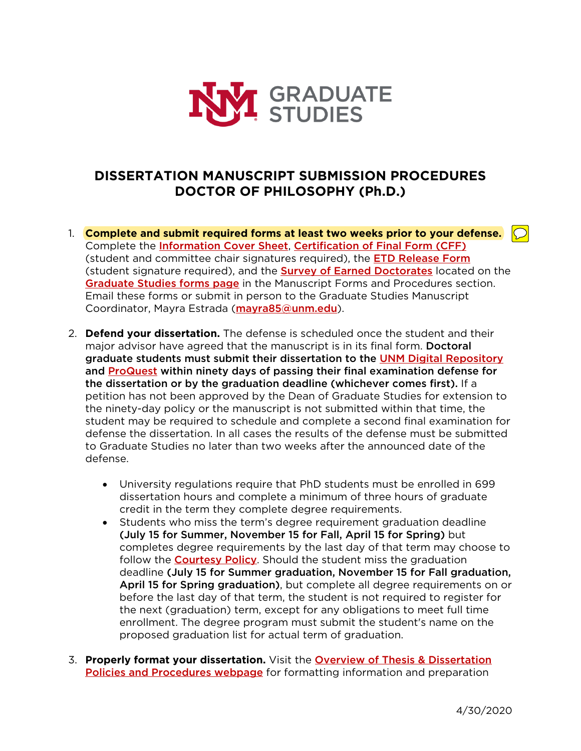

## **DISSERTATION MANUSCRIPT SUBMISSION PROCEDURES DOCTOR OF PHILOSOPHY (Ph.D.)**

- 1. **Complete and submit required forms at least two weeks prior to your defense.**  $\bigcirc$ Complete the **Information Cover Sheet, Certification of Final Form (CFF)** (student and committee chair signatures required), the **ETD Release Form** (student signature required), and the **Survey of Earned Doctorates** located on the Graduate Studies forms page in the Manuscript Forms and Procedures section. Email these forms or submit in person to the Graduate Studies Manuscript Coordinator, Mayra Estrada (mayra85@unm.edu).
- 2. **Defend your dissertation.** The defense is scheduled once the student and their major advisor have agreed that the manuscript is in its final form. Doctoral graduate students must submit their dissertation to the UNM Digital Repository and ProQuest within ninety days of passing their final examination defense for the dissertation or by the graduation deadline (whichever comes first). If a petition has not been approved by the Dean of Graduate Studies for extension to the ninety-day policy or the manuscript is not submitted within that time, the student may be required to schedule and complete a second final examination for defense the dissertation. In all cases the results of the defense must be submitted to Graduate Studies no later than two weeks after the announced date of the defense.
	- University regulations require that PhD students must be enrolled in 699 dissertation hours and complete a minimum of three hours of graduate credit in the term they complete degree requirements.
	- Students who miss the term's degree requirement graduation deadline (July 15 for Summer, November 15 for Fall, April 15 for Spring) but completes degree requirements by the last day of that term may choose to follow the **Courtesy Policy**. Should the student miss the graduation deadline (July 15 for Summer graduation, November 15 for Fall graduation, April 15 for Spring graduation), but complete all degree requirements on or before the last day of that term, the student is not required to register for the next (graduation) term, except for any obligations to meet full time enrollment. The degree program must submit the student's name on the proposed graduation list for actual term of graduation.
- 3. **Properly format your dissertation.** Visit the Overview of Thesis & Dissertation Policies and Procedures webpage for formatting information and preparation